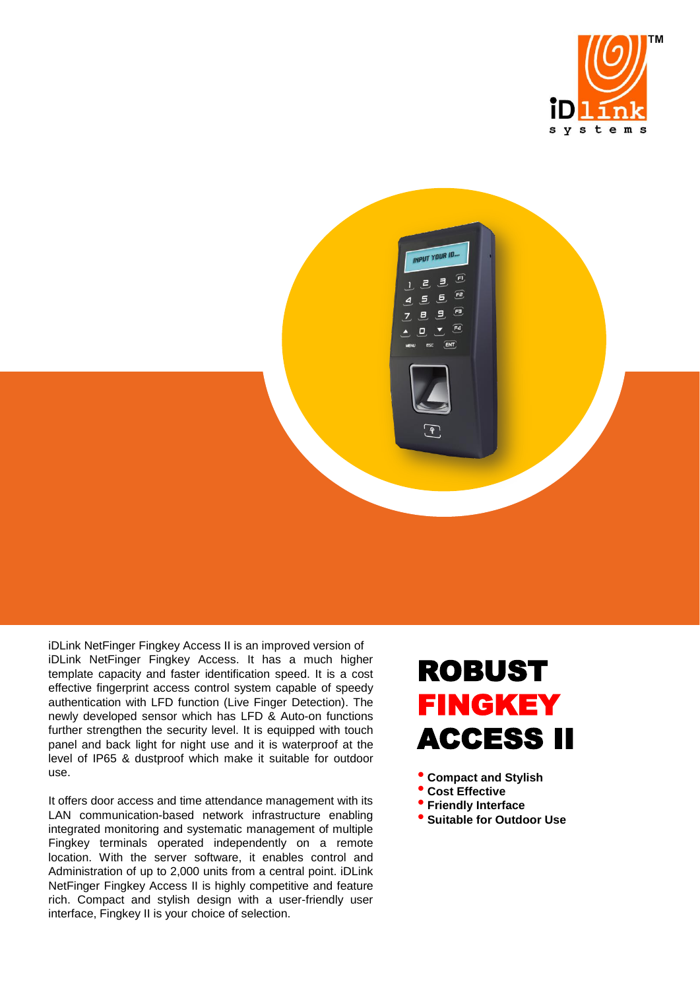



iDLink NetFinger Fingkey Access II is an improved version of iDLink NetFinger Fingkey Access. It has a much higher template capacity and faster identification speed. It is a cost effective fingerprint access control system capable of speedy authentication with LFD function (Live Finger Detection). The newly developed sensor which has LFD & Auto-on functions further strengthen the security level. It is equipped with touch panel and back light for night use and it is waterproof at the level of IP65 & dustproof which make it suitable for outdoor use.

It offers door access and time attendance management with its LAN communication-based network infrastructure enabling integrated monitoring and systematic management of multiple Fingkey terminals operated independently on a remote location. With the server software, it enables control and Administration of up to 2,000 units from a central point. iDLink NetFinger Fingkey Access II is highly competitive and feature rich. Compact and stylish design with a user-friendly user interface, Fingkey II is your choice of selection.

## ROBUST FINGKEY ACCESS II

• **Compact and Stylish** 

- **Cost Effective**
- **Friendly Interface**
- **Suitable for Outdoor Use**